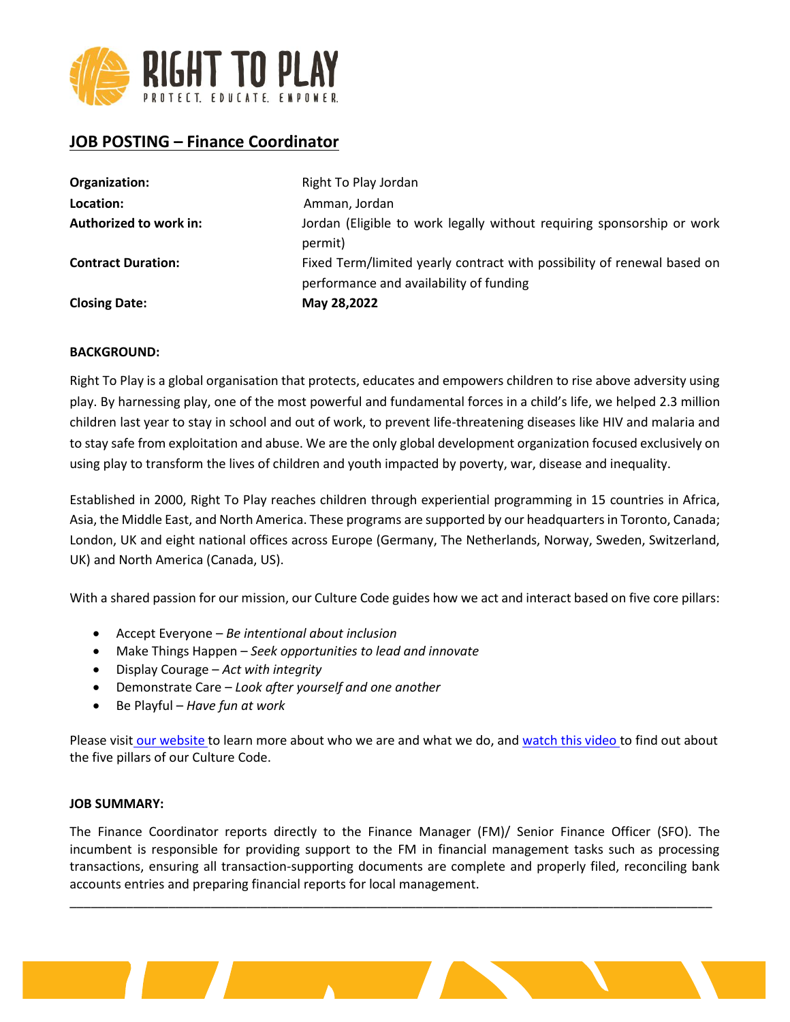

# **JOB POSTING – Finance Coordinator**

| Organization:             | Right To Play Jordan                                                    |
|---------------------------|-------------------------------------------------------------------------|
| Location:                 | Amman, Jordan                                                           |
| Authorized to work in:    | Jordan (Eligible to work legally without requiring sponsorship or work  |
|                           | permit)                                                                 |
| <b>Contract Duration:</b> | Fixed Term/limited yearly contract with possibility of renewal based on |
|                           | performance and availability of funding                                 |
| <b>Closing Date:</b>      | May 28,2022                                                             |

# **BACKGROUND:**

Right To Play is a global organisation that protects, educates and empowers children to rise above adversity using play. By harnessing play, one of the most powerful and fundamental forces in a child's life, we helped 2.3 million children last year to stay in school and out of work, to prevent life-threatening diseases like HIV and malaria and to stay safe from exploitation and abuse. We are the only global development organization focused exclusively on using play to transform the lives of children and youth impacted by poverty, war, disease and inequality.

Established in 2000, Right To Play reaches children through experiential programming in 15 countries in Africa, Asia, the Middle East, and North America. These programs are supported by our headquarters in Toronto, Canada; London, UK and eight national offices across Europe (Germany, The Netherlands, Norway, Sweden, Switzerland, UK) and North America (Canada, US).

With a shared passion for our mission, our Culture Code guides how we act and interact based on five core pillars:

- Accept Everyone *Be intentional about inclusion*
- Make Things Happen *Seek opportunities to lead and innovate*
- Display Courage *Act with integrity*
- Demonstrate Care *Look after yourself and one another*
- Be Playful *Have fun at work*

Please visit [our website](http://www.righttoplay.ca/) to learn more about who we are and what we do, and [watch this video](https://www.righttoplay.com/en/landing/our-culture-code/) to find out about the five pillars of our Culture Code.

#### **JOB SUMMARY:**

The Finance Coordinator reports directly to the Finance Manager (FM)/ Senior Finance Officer (SFO). The incumbent is responsible for providing support to the FM in financial management tasks such as processing transactions, ensuring all transaction-supporting documents are complete and properly filed, reconciling bank accounts entries and preparing financial reports for local management.

\_\_\_\_\_\_\_\_\_\_\_\_\_\_\_\_\_\_\_\_\_\_\_\_\_\_\_\_\_\_\_\_\_\_\_\_\_\_\_\_\_\_\_\_\_\_\_\_\_\_\_\_\_\_\_\_\_\_\_\_\_\_\_\_\_\_\_\_\_\_\_\_\_\_\_\_\_\_\_\_\_\_\_\_\_\_\_\_\_\_\_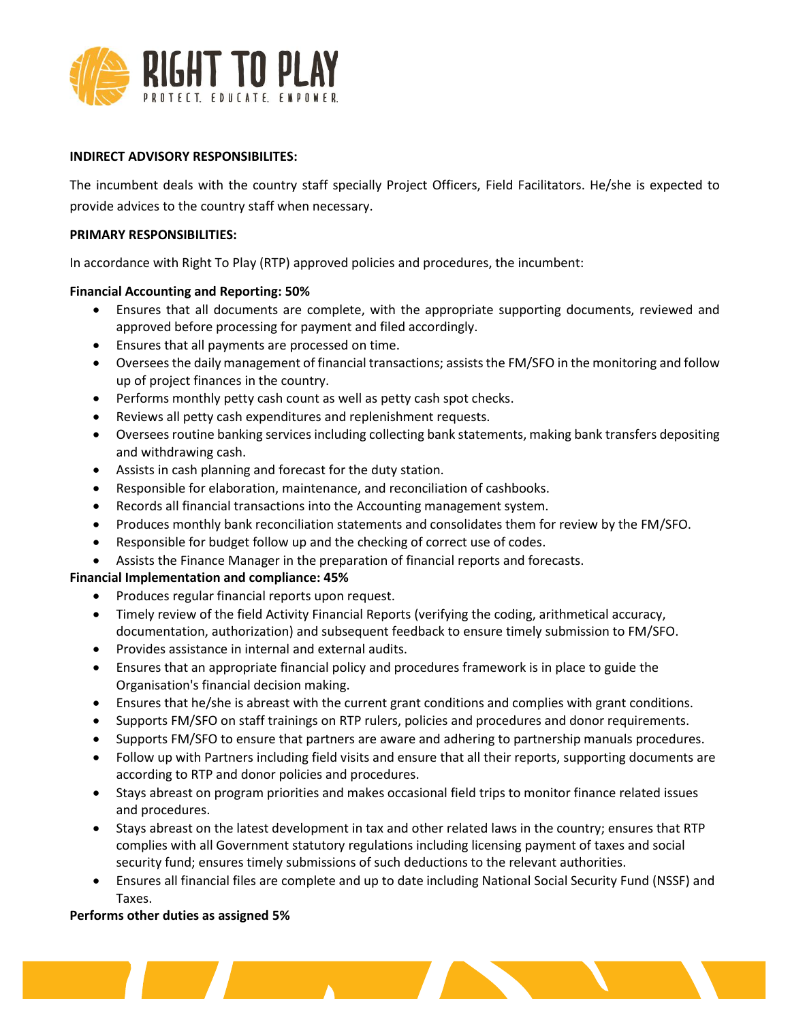

### **INDIRECT ADVISORY RESPONSIBILITES:**

The incumbent deals with the country staff specially Project Officers, Field Facilitators. He/she is expected to provide advices to the country staff when necessary.

#### **PRIMARY RESPONSIBILITIES:**

In accordance with Right To Play (RTP) approved policies and procedures, the incumbent:

# **Financial Accounting and Reporting: 50%**

- Ensures that all documents are complete, with the appropriate supporting documents, reviewed and approved before processing for payment and filed accordingly.
- Ensures that all payments are processed on time.
- Oversees the daily management of financial transactions; assists the FM/SFO in the monitoring and follow up of project finances in the country.
- Performs monthly petty cash count as well as petty cash spot checks.
- Reviews all petty cash expenditures and replenishment requests.
- Oversees routine banking services including collecting bank statements, making bank transfers depositing and withdrawing cash.
- Assists in cash planning and forecast for the duty station.
- Responsible for elaboration, maintenance, and reconciliation of cashbooks.
- Records all financial transactions into the Accounting management system.
- Produces monthly bank reconciliation statements and consolidates them for review by the FM/SFO.
- Responsible for budget follow up and the checking of correct use of codes.

<u>a shekara ta 1989, a shekara ta 1989, a shekara ta 1989, a shekara ta 1989, a shekara ta 1989, a shekara ta 19</u>

• Assists the Finance Manager in the preparation of financial reports and forecasts.

# **Financial Implementation and compliance: 45%**

- Produces regular financial reports upon request.
- Timely review of the field Activity Financial Reports (verifying the coding, arithmetical accuracy, documentation, authorization) and subsequent feedback to ensure timely submission to FM/SFO.
- Provides assistance in internal and external audits.
- Ensures that an appropriate financial policy and procedures framework is in place to guide the Organisation's financial decision making.
- Ensures that he/she is abreast with the current grant conditions and complies with grant conditions.
- Supports FM/SFO on staff trainings on RTP rulers, policies and procedures and donor requirements.
- Supports FM/SFO to ensure that partners are aware and adhering to partnership manuals procedures.
- Follow up with Partners including field visits and ensure that all their reports, supporting documents are according to RTP and donor policies and procedures.
- Stays abreast on program priorities and makes occasional field trips to monitor finance related issues and procedures.
- Stays abreast on the latest development in tax and other related laws in the country; ensures that RTP complies with all Government statutory regulations including licensing payment of taxes and social security fund; ensures timely submissions of such deductions to the relevant authorities.
- Ensures all financial files are complete and up to date including National Social Security Fund (NSSF) and Taxes.

# **Performs other duties as assigned 5%**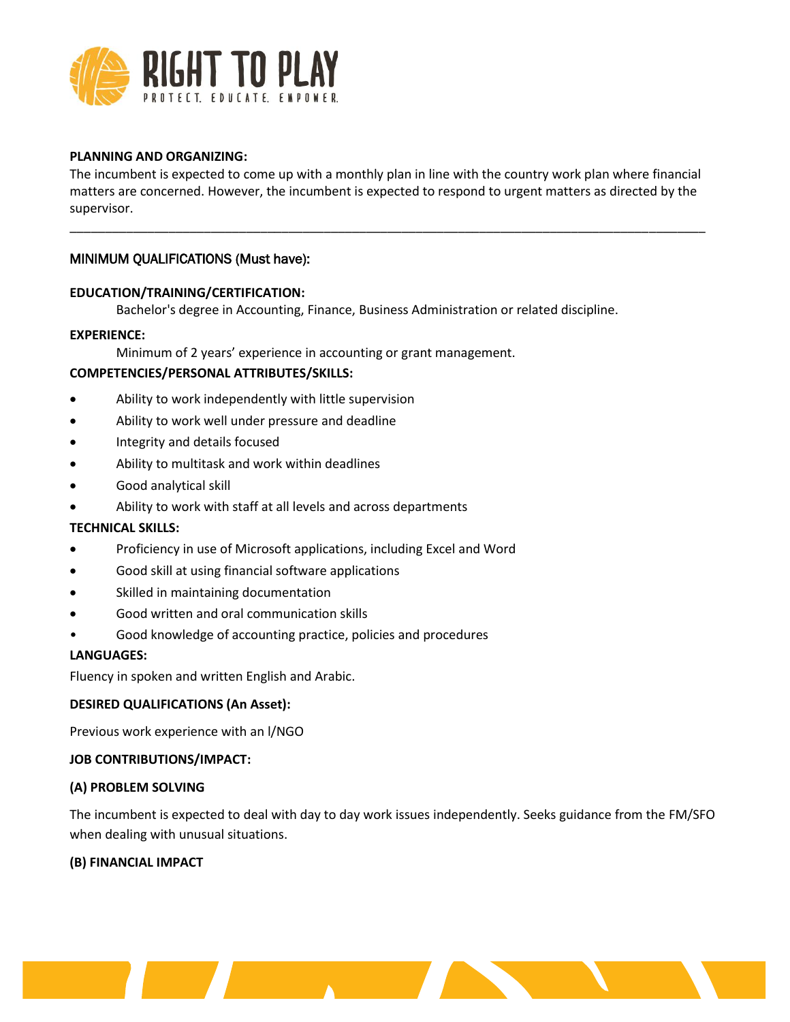

#### **PLANNING AND ORGANIZING:**

The incumbent is expected to come up with a monthly plan in line with the country work plan where financial matters are concerned. However, the incumbent is expected to respond to urgent matters as directed by the supervisor.

\_\_\_\_\_\_\_\_\_\_\_\_\_\_\_\_\_\_\_\_\_\_\_\_\_\_\_\_\_\_\_\_\_\_\_\_\_\_\_\_\_\_\_\_\_\_\_\_\_\_\_\_\_\_\_\_\_\_\_\_\_\_\_\_\_\_\_\_\_\_\_\_\_\_\_\_\_\_\_\_\_\_\_\_\_\_\_\_\_\_

# MINIMUM QUALIFICATIONS (Must have):

#### **EDUCATION/TRAINING/CERTIFICATION:**

Bachelor's degree in Accounting, Finance, Business Administration or related discipline.

#### **EXPERIENCE:**

Minimum of 2 years' experience in accounting or grant management.

# **COMPETENCIES/PERSONAL ATTRIBUTES/SKILLS:**

- Ability to work independently with little supervision
- Ability to work well under pressure and deadline
- Integrity and details focused
- Ability to multitask and work within deadlines
- Good analytical skill
- Ability to work with staff at all levels and across departments

# **TECHNICAL SKILLS:**

- Proficiency in use of Microsoft applications, including Excel and Word
- Good skill at using financial software applications
- Skilled in maintaining documentation
- Good written and oral communication skills
- Good knowledge of accounting practice, policies and procedures

<u>and the community of the community of the community of the community of the community of the community of the community of the community of the community of the community of the community of the community of the community</u>

#### **LANGUAGES:**

Fluency in spoken and written English and Arabic.

#### **DESIRED QUALIFICATIONS (An Asset):**

Previous work experience with an l/NGO

# **JOB CONTRIBUTIONS/IMPACT:**

#### **(A) PROBLEM SOLVING**

The incumbent is expected to deal with day to day work issues independently. Seeks guidance from the FM/SFO when dealing with unusual situations.

# **(B) FINANCIAL IMPACT**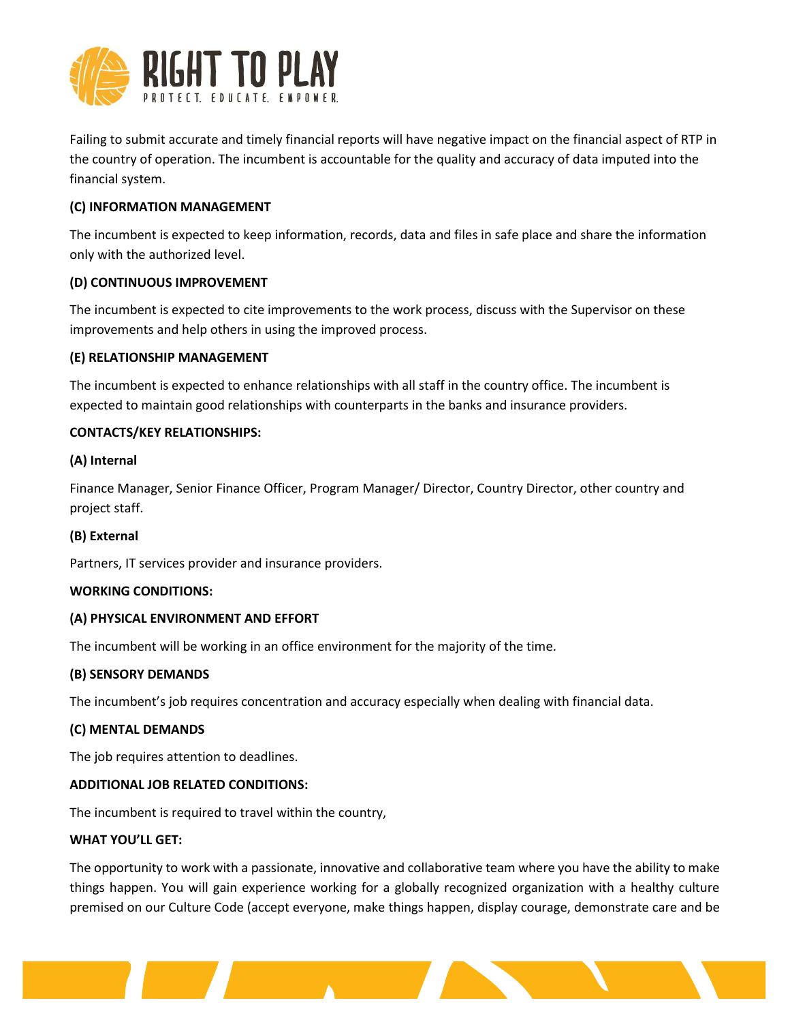

Failing to submit accurate and timely financial reports will have negative impact on the financial aspect of RTP in the country of operation. The incumbent is accountable for the quality and accuracy of data imputed into the financial system.

# **(C) INFORMATION MANAGEMENT**

The incumbent is expected to keep information, records, data and files in safe place and share the information only with the authorized level.

# **(D) CONTINUOUS IMPROVEMENT**

The incumbent is expected to cite improvements to the work process, discuss with the Supervisor on these improvements and help others in using the improved process.

# **(E) RELATIONSHIP MANAGEMENT**

The incumbent is expected to enhance relationships with all staff in the country office. The incumbent is expected to maintain good relationships with counterparts in the banks and insurance providers.

# **CONTACTS/KEY RELATIONSHIPS:**

# **(A) Internal**

Finance Manager, Senior Finance Officer, Program Manager/ Director, Country Director, other country and project staff.

# **(B) External**

Partners, IT services provider and insurance providers.

# **WORKING CONDITIONS:**

# **(A) PHYSICAL ENVIRONMENT AND EFFORT**

The incumbent will be working in an office environment for the majority of the time.

# **(B) SENSORY DEMANDS**

The incumbent's job requires concentration and accuracy especially when dealing with financial data.

# **(C) MENTAL DEMANDS**

The job requires attention to deadlines.

# **ADDITIONAL JOB RELATED CONDITIONS:**

The incumbent is required to travel within the country,

# **WHAT YOU'LL GET:**

The opportunity to work with a passionate, innovative and collaborative team where you have the ability to make things happen. You will gain experience working for a globally recognized organization with a healthy culture premised on our Culture Code (accept everyone, make things happen, display courage, demonstrate care and be

<u> 1999 - Jan Sterling Sterling Sterling Sterling Sterling Sterling Sterling Sterling Sterling Sterling Sterling</u>